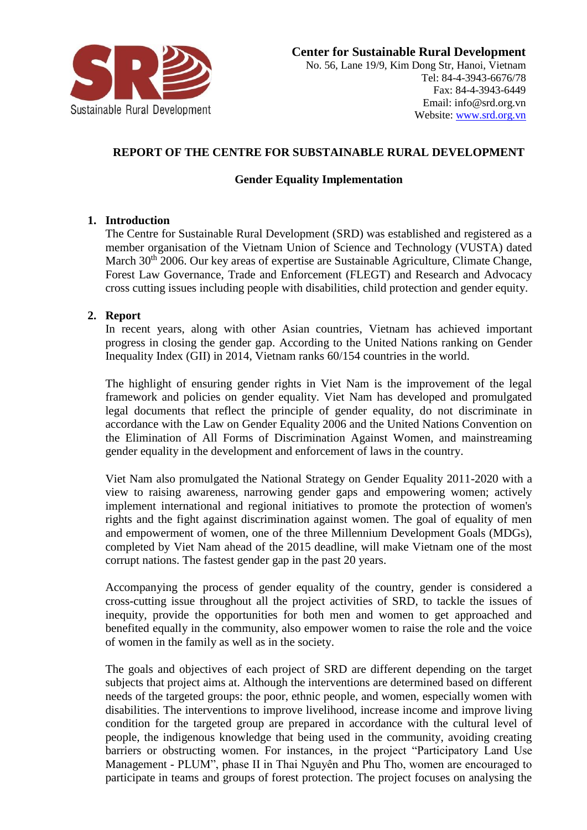

# **REPORT OF THE CENTRE FOR SUBSTAINABLE RURAL DEVELOPMENT**

# **Gender Equality Implementation**

### **1. Introduction**

The Centre for Sustainable Rural Development (SRD) was established and registered as a member organisation of the Vietnam Union of Science and Technology (VUSTA) dated March 30<sup>th</sup> 2006. Our key areas of expertise are Sustainable Agriculture, Climate Change, Forest Law Governance, Trade and Enforcement (FLEGT) and Research and Advocacy cross cutting issues including people with disabilities, child protection and gender equity.

### **2. Report**

In recent years, along with other Asian countries, Vietnam has achieved important progress in closing the gender gap. According to the United Nations ranking on Gender Inequality Index (GII) in 2014, Vietnam ranks 60/154 countries in the world.

The highlight of ensuring gender rights in Viet Nam is the improvement of the legal framework and policies on gender equality. Viet Nam has developed and promulgated legal documents that reflect the principle of gender equality, do not discriminate in accordance with the Law on Gender Equality 2006 and the United Nations Convention on the Elimination of All Forms of Discrimination Against Women, and mainstreaming gender equality in the development and enforcement of laws in the country.

Viet Nam also promulgated the National Strategy on Gender Equality 2011-2020 with a view to raising awareness, narrowing gender gaps and empowering women; actively implement international and regional initiatives to promote the protection of women's rights and the fight against discrimination against women. The goal of equality of men and empowerment of women, one of the three Millennium Development Goals (MDGs), completed by Viet Nam ahead of the 2015 deadline, will make Vietnam one of the most corrupt nations. The fastest gender gap in the past 20 years.

Accompanying the process of gender equality of the country, gender is considered a cross-cutting issue throughout all the project activities of SRD, to tackle the issues of inequity, provide the opportunities for both men and women to get approached and benefited equally in the community, also empower women to raise the role and the voice of women in the family as well as in the society.

The goals and objectives of each project of SRD are different depending on the target subjects that project aims at. Although the interventions are determined based on different needs of the targeted groups: the poor, ethnic people, and women, especially women with disabilities. The interventions to improve livelihood, increase income and improve living condition for the targeted group are prepared in accordance with the cultural level of people, the indigenous knowledge that being used in the community, avoiding creating barriers or obstructing women. For instances, in the project "Participatory Land Use Management - PLUM", phase II in Thai Nguyên and Phu Tho, women are encouraged to participate in teams and groups of forest protection. The project focuses on analysing the